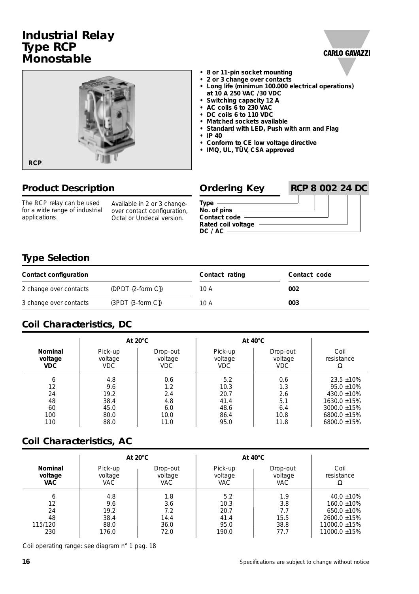# **Industrial Relay Type RCP Monostable**





#### **• 8 or 11-pin socket mounting**

- **2 or 3 change over contacts**
- **Long life (minimun 100.000 electrical operations) at 10 A 250 VAC /30 VDC**
- **Switching capacity 12 A**
- **AC coils 6 to 230 VAC**
- **DC coils 6 to 110 VDC**
- **Matched sockets available**
- **Standard with LED, Push with arm and Flag**
- **IP 40**
- **Conform to CE low voltage directive**
- **IMQ, UL, TÜV, CSA approved**

| <b>Product Description</b>                                                   |                                                                                         | <b>Ordering Key</b>                                                      | <b>RCP 8 002 24 DC</b> |  |  |
|------------------------------------------------------------------------------|-----------------------------------------------------------------------------------------|--------------------------------------------------------------------------|------------------------|--|--|
| The RCP relay can be used<br>for a wide range of industrial<br>applications. | Available in 2 or 3 change-<br>over contact configuration,<br>Octal or Undecal version. | Type<br>No. of $pins -$<br>Contact code<br>Rated coil voltage<br>DC / AC |                        |  |  |

## **Type Selection**

| Contact configuration  |                     | Contact rating | Contact code |
|------------------------|---------------------|----------------|--------------|
| 2 change over contacts | $(DPDT {2-form C})$ | 10 A           | 002          |
| 3 change over contacts | $(3PDT (3-form C))$ | 10 A           | 003          |

## **Coil Characteristics, DC**

|                | At $20^{\circ}$ C |            | At $40^{\circ}$ C |          |                   |
|----------------|-------------------|------------|-------------------|----------|-------------------|
| <b>Nominal</b> | Pick-up           | Drop-out   | Pick-up           | Drop-out | Coil              |
| voltage        | voltage           | voltage    | voltage           | voltage  | resistance        |
| <b>VDC</b>     | <b>VDC</b>        | <b>VDC</b> | <b>VDC</b>        | VDC.     | Ω                 |
| 6              | 4.8               | 0.6        | 5.2               | 0.6      | $23.5 \pm 10\%$   |
| 12             | 9.6               | 1.2        | 10.3              | 1.3      | $95.0 \pm 10\%$   |
| 24             | 19.2              | 2.4        | 20.7              | 2.6      | 430.0 $\pm$ 10%   |
| 48             | 38.4              | 4.8        | 41.4              | 5.1      | $1630.0 \pm 15\%$ |
| 60             | 45.0              | 6.0        | 48.6              | 6.4      | $3000.0 \pm 15\%$ |
| 100            | 80.0              | 10.0       | 86.4              | 10.8     | 6800.0 $\pm$ 15%  |
| 110            | 88.0              | 11.0       | 95.0              | 11.8     | $6800.0 \pm 15\%$ |

#### **Coil Characteristics, AC**

|                |            | At $20^{\circ}$ C |            | At $40^{\circ}$ C |                   |
|----------------|------------|-------------------|------------|-------------------|-------------------|
| <b>Nominal</b> | Pick-up    | Drop-out          | Pick-up    | Drop-out          | Coil              |
| voltage        | voltage    | voltage           | voltage    | voltage           | resistance        |
| <b>VAC</b>     | <b>VAC</b> | <b>VAC</b>        | <b>VAC</b> | <b>VAC</b>        | Ω                 |
| 6              | 4.8        | 1.8               | 5.2        | 1.9               | $40.0 \pm 10\%$   |
| 12             | 9.6        | 3.6               | 10.3       | 3.8               | $160.0 \pm 10\%$  |
| 24             | 19.2       | 7.2               | 20.7       | 7.7               | $650.0 \pm 10\%$  |
| 48             | 38.4       | 14.4              | 41.4       | 15.5              | $2600.0 \pm 15\%$ |
| 115/120        | 88.0       | 36.0              | 95.0       | 38.8              | 11000.0 ±15%      |
| 230            | 176.0      | 72.0              | 190.0      | 77.7              | 11000.0 ±15%      |

Coil operating range: see diagram n° 1 pag. 18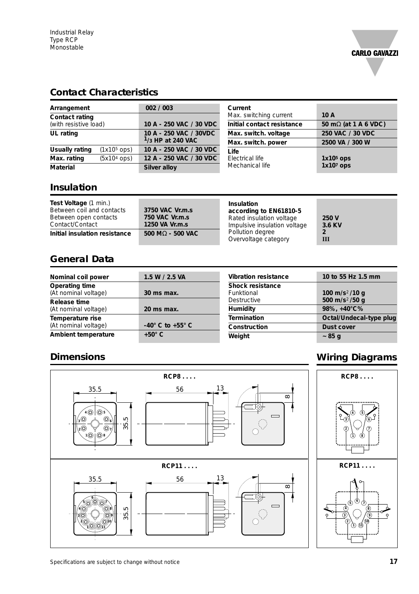

## **Contact Characteristics**

| Arrangement                     | 002 / 003                                     | Current                    |                  |
|---------------------------------|-----------------------------------------------|----------------------------|------------------|
| <b>Contact rating</b>           |                                               | Max. switching current     | 10A              |
| (with resistive load)           | 10 A - 250 VAC / 30 VDC                       | Initial contact resistance |                  |
| UL rating                       | 10 A - 250 VAC / 30VDC<br>$1/3$ HP at 240 VAC | Max. switch. voltage       | 250 VAC / 30 VDC |
|                                 |                                               | Max. switch. power         | 2500 VA / 300 W  |
| $(1x105$ ops)<br>Usually rating | 10 A - 250 VAC / 30 VDC                       | Life                       |                  |
| $(5x104$ ops)<br>Max. rating    | 12 A - 250 VAC / 30 VDC                       | Electrical life            | $1x105$ ops      |
| <b>Material</b>                 | Silver alloy                                  | Mechanical life            | $1x107$ ops      |

#### **Insulation**

| Test Voltage (1 min.)<br>Between coil and contacts<br>Between open contacts<br>Contact/Contact | 3750 VAC Vr.m.s<br>750 VAC Vr.m.s<br>1250 VA Vr.m.s | Insulation<br>according to EN61810-5<br>Rated insulation voltage<br>Impulsive insulation voltage | 250 V<br>3.6 KV |
|------------------------------------------------------------------------------------------------|-----------------------------------------------------|--------------------------------------------------------------------------------------------------|-----------------|
| Initial insulation resistance                                                                  | $500 \text{ M}\Omega$ - 500 VAC                     | Pollution degree<br>Overvoltage category                                                         | Ш               |

#### **General Data**

| Nominal coil power                            | 1.5 W / 2.5 VA                 |
|-----------------------------------------------|--------------------------------|
| <b>Operating time</b><br>(At nominal voltage) | 30 ms max.                     |
| Release time                                  |                                |
| (At nominal voltage)                          | 20 ms max.                     |
| Temperature rise                              |                                |
| (At nominal voltage)                          | $-40^\circ$ C to $+55^\circ$ C |
|                                               |                                |

| <b>Vibration resistance</b> | 10 to 55 Hz 1.5 mm         |  |
|-----------------------------|----------------------------|--|
| <b>Shock resistance</b>     |                            |  |
| Funktional                  | 100 m/s <sup>2</sup> /10 g |  |
| Destructive                 | 500 m/s <sup>2</sup> /50 g |  |
| <b>Humidity</b>             | 98%, +40°C%                |  |
| <b>Termination</b>          | Octal/Undecal-type plug    |  |
| Construction                | Dust cover                 |  |
| Weight                      | ~ 85 g                     |  |
|                             |                            |  |

# **Dimensions**



# **Wiring Diagrams**

**4 5**

**5**

2) \cdot 2(10 **1 11**

**6**

**8**

**6 7**

**8 7**

**9**